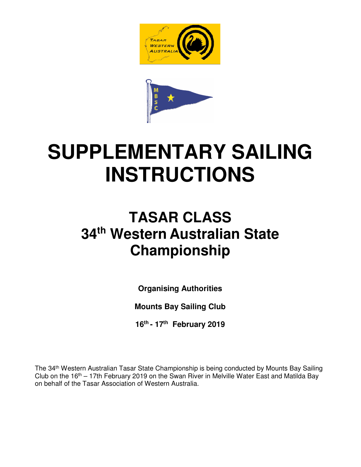



# **SUPPLEMENTARY SAILING INSTRUCTIONS**

## **TASAR CLASS 34th Western Australian State Championship**

**Organising Authorities** 

**Mounts Bay Sailing Club** 

**16th - 17th February 2019** 

The 34th Western Australian Tasar State Championship is being conducted by Mounts Bay Sailing Club on the  $16<sup>th</sup> - 17$ th February 2019 on the Swan River in Melville Water East and Matilda Bay on behalf of the Tasar Association of Western Australia.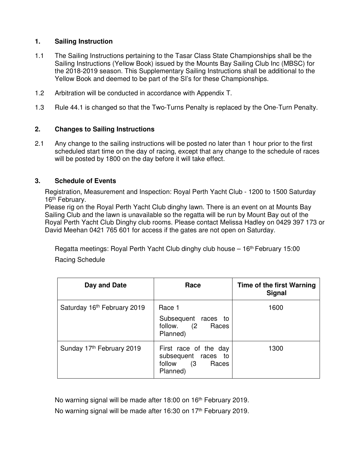#### **1. Sailing Instruction**

- 1.1 The Sailing Instructions pertaining to the Tasar Class State Championships shall be the Sailing Instructions (Yellow Book) issued by the Mounts Bay Sailing Club Inc (MBSC) for the 2018-2019 season. This Supplementary Sailing Instructions shall be additional to the Yellow Book and deemed to be part of the SI's for these Championships.
- 1.2 Arbitration will be conducted in accordance with Appendix T.
- 1.3 Rule 44.1 is changed so that the Two-Turns Penalty is replaced by the One-Turn Penalty.

#### **2. Changes to Sailing Instructions**

2.1 Any change to the sailing instructions will be posted no later than 1 hour prior to the first scheduled start time on the day of racing, except that any change to the schedule of races will be posted by 1800 on the day before it will take effect.

#### **3. Schedule of Events**

Registration, Measurement and Inspection: Royal Perth Yacht Club - 1200 to 1500 Saturday 16<sup>th</sup> February.

Please rig on the Royal Perth Yacht Club dinghy lawn. There is an event on at Mounts Bay Sailing Club and the lawn is unavailable so the regatta will be run by Mount Bay out of the Royal Perth Yacht Club Dinghy club rooms. Please contact Melissa Hadley on 0429 397 173 or David Meehan 0421 765 601 for access if the gates are not open on Saturday.

Regatta meetings: Royal Perth Yacht Club dinghy club house – 16th February 15:00 Racing Schedule

| Day and Date                | Race                                                                            | Time of the first Warning<br><b>Signal</b> |
|-----------------------------|---------------------------------------------------------------------------------|--------------------------------------------|
| Saturday 16th February 2019 | Race 1<br>Subsequent races to<br>follow. (2 Races<br>Planned)                   | 1600                                       |
| Sunday 17th February 2019   | First race of the day<br>subsequent races to<br>follow (3)<br>Races<br>Planned) | 1300                                       |

No warning signal will be made after 18:00 on 16<sup>th</sup> February 2019. No warning signal will be made after 16:30 on 17<sup>th</sup> February 2019.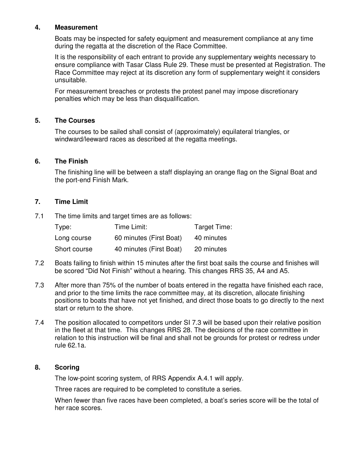#### **4. Measurement**

Boats may be inspected for safety equipment and measurement compliance at any time during the regatta at the discretion of the Race Committee.

It is the responsibility of each entrant to provide any supplementary weights necessary to ensure compliance with Tasar Class Rule 29. These must be presented at Registration. The Race Committee may reject at its discretion any form of supplementary weight it considers unsuitable.

For measurement breaches or protests the protest panel may impose discretionary penalties which may be less than disqualification.

#### **5. The Courses**

The courses to be sailed shall consist of (approximately) equilateral triangles, or windward/leeward races as described at the regatta meetings.

#### **6. The Finish**

The finishing line will be between a staff displaying an orange flag on the Signal Boat and the port-end Finish Mark.

#### **7. Time Limit**

7.1 The time limits and target times are as follows:

| Type:        | Time Limit:             | Target Time: |
|--------------|-------------------------|--------------|
| Long course  | 60 minutes (First Boat) | 40 minutes   |
| Short course | 40 minutes (First Boat) | 20 minutes   |

- 7.2 Boats failing to finish within 15 minutes after the first boat sails the course and finishes will be scored "Did Not Finish" without a hearing. This changes RRS 35, A4 and A5.
- 7.3 After more than 75% of the number of boats entered in the regatta have finished each race, and prior to the time limits the race committee may, at its discretion, allocate finishing positions to boats that have not yet finished, and direct those boats to go directly to the next start or return to the shore.
- 7.4 The position allocated to competitors under SI 7.3 will be based upon their relative position in the fleet at that time. This changes RRS 28. The decisions of the race committee in relation to this instruction will be final and shall not be grounds for protest or redress under rule 62.1a.

#### **8. Scoring**

The low-point scoring system, of RRS Appendix A.4.1 will apply.

Three races are required to be completed to constitute a series.

When fewer than five races have been completed, a boat's series score will be the total of her race scores.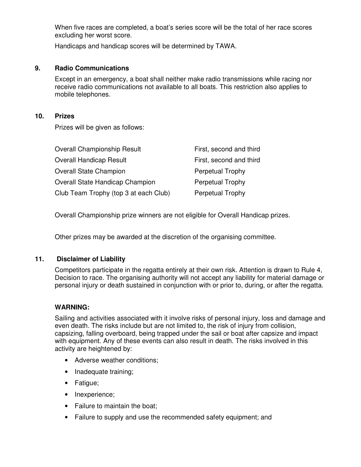When five races are completed, a boat's series score will be the total of her race scores excluding her worst score.

Handicaps and handicap scores will be determined by TAWA.

#### **9. Radio Communications**

Except in an emergency, a boat shall neither make radio transmissions while racing nor receive radio communications not available to all boats. This restriction also applies to mobile telephones.

#### **10. Prizes**

Prizes will be given as follows:

| <b>Overall Championship Result</b>     | First, second and third |
|----------------------------------------|-------------------------|
| <b>Overall Handicap Result</b>         | First, second and third |
| <b>Overall State Champion</b>          | <b>Perpetual Trophy</b> |
| <b>Overall State Handicap Champion</b> | <b>Perpetual Trophy</b> |
| Club Team Trophy (top 3 at each Club)  | <b>Perpetual Trophy</b> |

Overall Championship prize winners are not eligible for Overall Handicap prizes.

Other prizes may be awarded at the discretion of the organising committee.

#### **11. Disclaimer of Liability**

Competitors participate in the regatta entirely at their own risk. Attention is drawn to Rule 4, Decision to race. The organising authority will not accept any liability for material damage or personal injury or death sustained in conjunction with or prior to, during, or after the regatta.

#### **WARNING:**

Sailing and activities associated with it involve risks of personal injury, loss and damage and even death. The risks include but are not limited to, the risk of injury from collision, capsizing, falling overboard, being trapped under the sail or boat after capsize and impact with equipment. Any of these events can also result in death. The risks involved in this activity are heightened by:

- Adverse weather conditions;
- Inadequate training;
- Fatigue;
- Inexperience;
- Failure to maintain the boat:
- Failure to supply and use the recommended safety equipment; and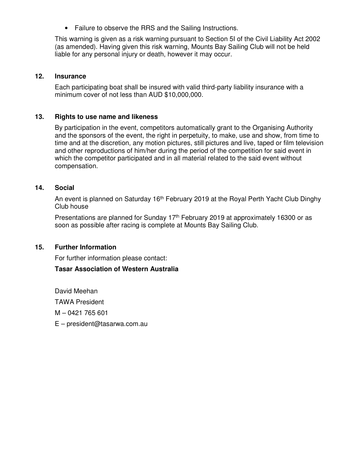• Failure to observe the RRS and the Sailing Instructions.

This warning is given as a risk warning pursuant to Section 5I of the Civil Liability Act 2002 (as amended). Having given this risk warning, Mounts Bay Sailing Club will not be held liable for any personal injury or death, however it may occur.

#### **12. Insurance**

Each participating boat shall be insured with valid third-party liability insurance with a minimum cover of not less than AUD \$10,000,000.

#### **13. Rights to use name and likeness**

By participation in the event, competitors automatically grant to the Organising Authority and the sponsors of the event, the right in perpetuity, to make, use and show, from time to time and at the discretion, any motion pictures, still pictures and live, taped or film television and other reproductions of him/her during the period of the competition for said event in which the competitor participated and in all material related to the said event without compensation.

#### **14. Social**

An event is planned on Saturday 16<sup>th</sup> February 2019 at the Royal Perth Yacht Club Dinghy Club house

Presentations are planned for Sunday 17<sup>th</sup> February 2019 at approximately 16300 or as soon as possible after racing is complete at Mounts Bay Sailing Club.

#### **15. Further Information**

For further information please contact:

#### **Tasar Association of Western Australia**

David Meehan TAWA President M – 0421 765 601 E – president@tasarwa.com.au